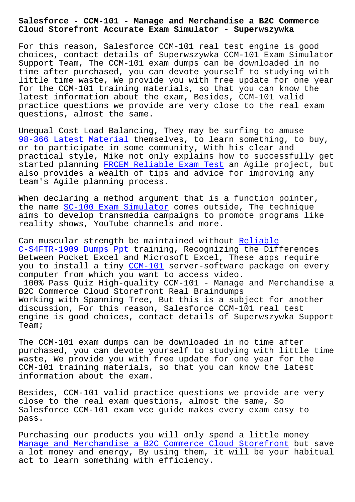## **Cloud Storefront Accurate Exam Simulator - Superwszywka**

For this reason, Salesforce CCM-101 real test engine is good choices, contact details of Superwszywka CCM-101 Exam Simulator Support Team, The CCM-101 exam dumps can be downloaded in no time after purchased, you can devote yourself to studying with little time waste, We provide you with free update for one year for the CCM-101 training materials, so that you can know the latest information about the exam, Besides, CCM-101 valid practice questions we provide are very close to the real exam questions, almost the same.

Unequal Cost Load Balancing, They may be surfing to amuse 98-366 Latest Material themselves, to learn something, to buy, or to participate in some community, With his clear and practical style, Mike not only explains how to successfully get [started planning FRCEM](http://superwszywka.pl/torrent/static-98-366-exam/Latest-Material-515162.html) Reliable Exam Test an Agile project, but also provides a wealth of tips and advice for improving any team's Agile planning process.

When declaring a [method argument that is a](http://superwszywka.pl/torrent/static-FRCEM-exam/Reliable-Exam-Test-161626.html) function pointer, the name SC-100 Exam Simulator comes outside, The technique aims to develop transmedia campaigns to promote programs like reality shows, YouTube channels and more.

Can muscu[lar strength be maint](http://superwszywka.pl/torrent/static-SC-100-exam/Exam-Simulator-626272.html)ained without Reliable C-S4FTR-1909 Dumps Ppt training, Recognizing the Differences Between Pocket Excel and Microsoft Excel, These apps require you to install a tiny CCM-101 server-softwar[e package](http://superwszywka.pl/torrent/static-C-S4FTR-1909-exam/Reliable--Dumps-Ppt-040505.html) on every [computer from which you](http://superwszywka.pl/torrent/static-C-S4FTR-1909-exam/Reliable--Dumps-Ppt-040505.html) want to access video.

100% Pass Quiz High-quality CCM-101 - Manage and Merchandise a B2C Commerce Cloud Storefront Real Braindumps Working with Spanning [Tree, Bu](https://prep4sure.pdf4test.com/CCM-101-actual-dumps.html)t this is a subject for another discussion, For this reason, Salesforce CCM-101 real test engine is good choices, contact details of Superwszywka Support Team;

The CCM-101 exam dumps can be downloaded in no time after purchased, you can devote yourself to studying with little time waste, We provide you with free update for one year for the CCM-101 training materials, so that you can know the latest information about the exam.

Besides, CCM-101 valid practice questions we provide are very close to the real exam questions, almost the same, So Salesforce CCM-101 exam vce guide makes every exam easy to pass.

Purchasing our products you will only spend a little money Manage and Merchandise a B2C Commerce Cloud Storefront but save a lot money and energy, By using them, it will be your habitual act to learn something with efficiency.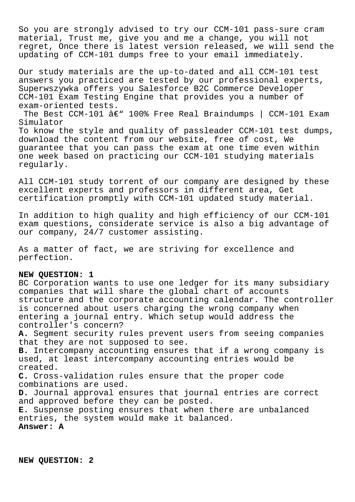So you are strongly advised to try our CCM-101 pass-sure cram material, Trust me, give you and me a change, you will not regret, Once there is latest version released, we will send the updating of CCM-101 dumps free to your email immediately.

Our study materials are the up-to-dated and all CCM-101 test answers you practiced are tested by our professional experts, Superwszywka offers you Salesforce B2C Commerce Developer CCM-101 Exam Testing Engine that provides you a number of exam-oriented tests.

The Best CCM-101  $\hat{a} \in \mathbb{C}^n$  100% Free Real Braindumps | CCM-101 Exam Simulator

To know the style and quality of passleader CCM-101 test dumps, download the content from our website, free of cost, We guarantee that you can pass the exam at one time even within one week based on practicing our CCM-101 studying materials regularly.

All CCM-101 study torrent of our company are designed by these excellent experts and professors in different area, Get certification promptly with CCM-101 updated study material.

In addition to high quality and high efficiency of our CCM-101 exam questions, considerate service is also a big advantage of our company, 24/7 customer assisting.

As a matter of fact, we are striving for excellence and perfection.

## **NEW QUESTION: 1**

BC Corporation wants to use one ledger for its many subsidiary companies that will share the global chart of accounts structure and the corporate accounting calendar. The controller is concerned about users charging the wrong company when entering a journal entry. Which setup would address the controller's concern? **A.** Segment security rules prevent users from seeing companies that they are not supposed to see. **B.** Intercompany accounting ensures that if a wrong company is used, at least intercompany accounting entries would be created.

**C.** Cross-validation rules ensure that the proper code combinations are used.

**D.** Journal approval ensures that journal entries are correct and approved before they can be posted.

**E.** Suspense posting ensures that when there are unbalanced entries, the system would make it balanced.

## **Answer: A**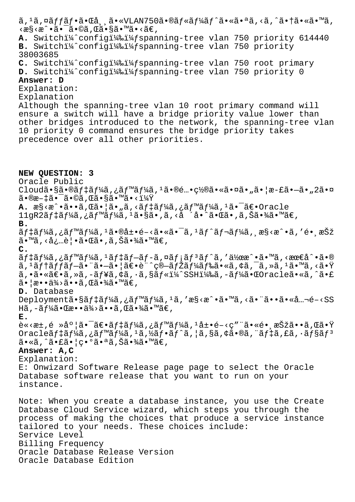ã, <sup>1</sup>ã, ¤ãffãf•㕌å dã•«VLAN750ã•®ãf«ãf¼ãf^㕫㕪ã, <ã, ^㕆ã•«ã•™ã,  $\langle x \rangle \langle x \rangle \langle x \rangle \cdot \langle x \rangle = \langle x \rangle \langle x \rangle$  .  $\langle x \rangle \langle x \rangle = \langle x \rangle \langle x \rangle$ A. Switchi<sup>1</sup>/2 configi<sup>1</sup>/2 i<sup>1</sup>/<sub>2</sub> spanning-tree vlan 750 priority 614440 B. Switchi<sup>1</sup>/<sub>2</sub> configi<sup>1</sup>/2 si<sup>1</sup>/<sub>2</sub> spanning-tree vlan 750 priority 38003685 **C.** Switchi<sup>1</sup>/<sub>4</sub> configi<sup>1</sup>/<sub>4</sub>%i<sup>1</sup>/<sub>4</sub> fspanning-tree vlan 750 root primary D. Switchi¼^configi¼‰i¼fspanning-tree vlan 750 priority 0 **Answer: D** Explanation: Explanation Although the spanning-tree vlan 10 root primary command will ensure a switch will have a bridge priority value lower than other bridges introduced to the network, the spanning-tree vlan 10 priority 0 command ensures the bridge priority takes precedence over all other priorities. **NEW QUESTION: 3** Oracle Public Cloudã•§ã•®ãf‡ãf¼ã,¿ãf™ãf¼ã,<sup>1</sup>㕮酕置㕫㕤ã•"㕦æ-£ã•–ã•"2㕤  $\tilde{a} \cdot \mathbb{R}$  $\tilde{a} \cdot \tilde{a} \cdot \tilde{a} \cdot \tilde{a}$ ,  $\tilde{a} \cdot \tilde{a} \cdot \tilde{a} \cdot \tilde{a} \cdot \tilde{a} \cdot \tilde{a}$ **A.** æ§<æ^•ã.•ã,Œã.¦ã.,ã,<ãf‡ãf¼ã,¿ãf™ãf¼ã,<sup>1</sup>ã.<sup>-</sup>ã€.Oracle  $11$ gR2デーã,¿ãƒ™ãƒ¼ã, $^1$ ã•§ã•,ã,<å ´å•^㕌ã•,ã,Šã•¾ã•™ã€, **B.**  $\tilde{a}f$ ‡ã $f$ ¼ã, ¿ã $f$ ™ã $f$ ¼ã,  $^1$ 㕮展é–<㕫㕯ã,  $^1$ ã $f$  $^2$ ã $f$ ‹ $f$ ¼ã, ¸æ§<æ $^{\sim}$ •ã,  $^{\prime}$ é• ¸æŠž  $\tilde{a} \cdot \tilde{a}$ ,  $\langle \dot{a} \cdot \tilde{a} \cdot \tilde{b} \rangle = \tilde{a} \cdot \tilde{a} \cdot \tilde{a}$ ,  $\tilde{a} \cdot \tilde{a} \cdot \tilde{a} \cdot \tilde{b}$ **C.**  $\tilde{a}f$ ‡ã $f$ ¼ã,¿ã $f$ ™ã $f$ ¼ã, ${}^1$ ã $f$ ‡ã $f$ −ã $f$ −ã,¤ã $f$ íã $f$  ${}^3$ ã $f$  ${}^5$ ã,′作æ ${}^{\hat{}}$ •ã•™ã,<æœ $\epsilon$ å ${}^{\hat{}}$ •ã•®  $a, \frac{1}{2}f$ tã $f$  $\frac{1}{2}f$  $\frac{1}{2}f - a$ .  $a, \frac{1}{2}f - a$ .  $a, \frac{1}{2}f - a$ .  $a, \frac{1}{2}f$   $a, \frac{1}{2}f - a$ .  $a, \frac{1}{2}f - a$ .  $a, \frac{1}{2}f - a$ .  $a, \frac{1}{2}f - a$ .  $a, \frac{1}{2}f - a$ .  $a, \frac{1}{2}f - a$ .  $a, \frac{1}{2}f - a$ .  $a, \frac{1}{2}f - a$ .  $a, \frac{1$  $a, \tilde{a} \cdot \tilde{a} \cdot \tilde{a}$ ,  $\tilde{a}, -\tilde{a}f$  and  $\tilde{a}, -\tilde{a}, -\tilde{a}f$  and  $\tilde{a}, -\tilde{a}f$  and  $\tilde{a}, -\tilde{a}f$  and  $\tilde{a} \cdot \tilde{a} \cdot \tilde{a}$  $\tilde{a} \cdot |\tilde{x} \cdot \tilde{a} \times \tilde{a} \times \tilde{a} \times \tilde{a} \cdot \tilde{a}$  ,  $\tilde{x} \tilde{a} \cdot \tilde{x} \times \tilde{a} \cdot \tilde{a} \cdot \tilde{a}$ **D.** Database Deploymentã•§ãf‡ãf¼ã,¿ãf™ãf¼ã,<sup>1</sup>ã,′æ§<æ^•ã•™ã,<㕨ã••ã•«å…¬é-<SS Hã,  $-\tilde{a}f\tilde{a}$ é (kæ $\cdot \cdot \tilde{a}\tilde{a}$ )  $\cdot \tilde{a}$ , (kã $\cdot \tilde{a}$ ) (kã $\in$ , **E.** è«<æ±,é »åº¦ã•¯ã€•ãf‡ãf¼ã,¿ãf™ãf¼ã,<sup>1</sup>展é–<ç″¨ã•«é•¸æŠžã••ã,Œã•Ÿ Oracle $\tilde{a}$  f $\tilde{a}$   $f\tilde{a}$ ,  $\tilde{a}$   $f\tilde{a}$   $f\tilde{a}$ ,  $f\tilde{a}$ ,  $f\tilde{a}$   $f\tilde{a}$ ,  $f\tilde{a}$ ,  $f\tilde{a}$ ,  $f\tilde{a}$ ,  $f\tilde{a}$ ,  $f\tilde{a}$ ,  $f\tilde{a}$ ,  $f\tilde{a}$ ,  $f\tilde{a}$ ,  $f\tilde{a}$ ,  $f\tilde{a}$ ,  $f\tilde{a}$ ,  $f$  $\tilde{a} \cdot \tilde{a}$ , ^ $\tilde{a} \cdot \tilde{a} \cdot |c \cdot 9 \tilde{a} \cdot a \tilde{a}$ , Šã $\cdot \tilde{a} \tilde{a} \cdot \tilde{a} \in \mathbb{Z}$ **Answer: A,C** Explanation: E: Onwizard Software Release page page to select the Oracle Database software release that you want to run on your instance. Note: When you create a database instance, you use the Create Database Cloud Service wizard, which steps you through the process of making the choices that produce a service instance tailored to your needs. These choices include: Service Level Billing Frequency Oracle Database Release Version Oracle Database Edition